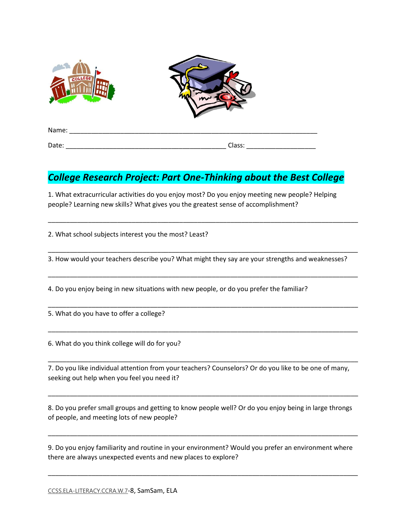

## *College Research Project: Part One-Thinking about the Best College*

1. What extracurricular activities do you enjoy most? Do you enjoy meeting new people? Helping people? Learning new skills? What gives you the greatest sense of accomplishment?

2. What school subjects interest you the most? Least?

3. How would your teachers describe you? What might they say are your strengths and weaknesses?

\_\_\_\_\_\_\_\_\_\_\_\_\_\_\_\_\_\_\_\_\_\_\_\_\_\_\_\_\_\_\_\_\_\_\_\_\_\_\_\_\_\_\_\_\_\_\_\_\_\_\_\_\_\_\_\_\_\_\_\_\_\_\_\_\_\_\_\_\_\_\_\_\_\_\_\_\_\_\_\_\_\_\_\_\_

\_\_\_\_\_\_\_\_\_\_\_\_\_\_\_\_\_\_\_\_\_\_\_\_\_\_\_\_\_\_\_\_\_\_\_\_\_\_\_\_\_\_\_\_\_\_\_\_\_\_\_\_\_\_\_\_\_\_\_\_\_\_\_\_\_\_\_\_\_\_\_\_\_\_\_\_\_\_\_\_\_\_\_\_\_

\_\_\_\_\_\_\_\_\_\_\_\_\_\_\_\_\_\_\_\_\_\_\_\_\_\_\_\_\_\_\_\_\_\_\_\_\_\_\_\_\_\_\_\_\_\_\_\_\_\_\_\_\_\_\_\_\_\_\_\_\_\_\_\_\_\_\_\_\_\_\_\_\_\_\_\_\_\_\_\_\_\_\_\_\_

\_\_\_\_\_\_\_\_\_\_\_\_\_\_\_\_\_\_\_\_\_\_\_\_\_\_\_\_\_\_\_\_\_\_\_\_\_\_\_\_\_\_\_\_\_\_\_\_\_\_\_\_\_\_\_\_\_\_\_\_\_\_\_\_\_\_\_\_\_\_\_\_\_\_\_\_\_\_\_\_\_\_\_\_\_

\_\_\_\_\_\_\_\_\_\_\_\_\_\_\_\_\_\_\_\_\_\_\_\_\_\_\_\_\_\_\_\_\_\_\_\_\_\_\_\_\_\_\_\_\_\_\_\_\_\_\_\_\_\_\_\_\_\_\_\_\_\_\_\_\_\_\_\_\_\_\_\_\_\_\_\_\_\_\_\_\_\_\_\_\_

\_\_\_\_\_\_\_\_\_\_\_\_\_\_\_\_\_\_\_\_\_\_\_\_\_\_\_\_\_\_\_\_\_\_\_\_\_\_\_\_\_\_\_\_\_\_\_\_\_\_\_\_\_\_\_\_\_\_\_\_\_\_\_\_\_\_\_\_\_\_\_\_\_\_\_\_\_\_\_\_\_\_\_\_\_

4. Do you enjoy being in new situations with new people, or do you prefer the familiar?

5. What do you have to offer a college?

6. What do you think college will do for you?

7. Do you like individual attention from your teachers? Counselors? Or do you like to be one of many, seeking out help when you feel you need it?

8. Do you prefer small groups and getting to know people well? Or do you enjoy being in large throngs of people, and meeting lots of new people?

\_\_\_\_\_\_\_\_\_\_\_\_\_\_\_\_\_\_\_\_\_\_\_\_\_\_\_\_\_\_\_\_\_\_\_\_\_\_\_\_\_\_\_\_\_\_\_\_\_\_\_\_\_\_\_\_\_\_\_\_\_\_\_\_\_\_\_\_\_\_\_\_\_\_\_\_\_\_\_\_\_\_\_\_\_

9. Do you enjoy familiarity and routine in your environment? Would you prefer an environment where there are always unexpected events and new places to explore?

\_\_\_\_\_\_\_\_\_\_\_\_\_\_\_\_\_\_\_\_\_\_\_\_\_\_\_\_\_\_\_\_\_\_\_\_\_\_\_\_\_\_\_\_\_\_\_\_\_\_\_\_\_\_\_\_\_\_\_\_\_\_\_\_\_\_\_\_\_\_\_\_\_\_\_\_\_\_\_\_\_\_\_\_\_

\_\_\_\_\_\_\_\_\_\_\_\_\_\_\_\_\_\_\_\_\_\_\_\_\_\_\_\_\_\_\_\_\_\_\_\_\_\_\_\_\_\_\_\_\_\_\_\_\_\_\_\_\_\_\_\_\_\_\_\_\_\_\_\_\_\_\_\_\_\_\_\_\_\_\_\_\_\_\_\_\_\_\_\_\_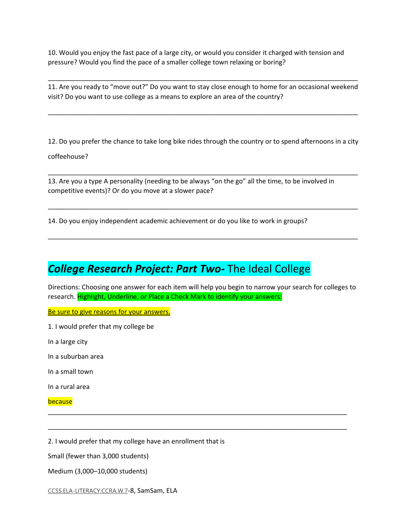10. Would you enjoy the fast pace of a large city, or would you consider it charged with tension and pressure? Would you find the pace of a smaller college town relaxing or boring?

11. Are you ready to "move out?" Do you want to stay close enough to home for an occasional weekend visit? Do you want to use college as a means to explore an area of the country?

\_\_\_\_\_\_\_\_\_\_\_\_\_\_\_\_\_\_\_\_\_\_\_\_\_\_\_\_\_\_\_\_\_\_\_\_\_\_\_\_\_\_\_\_\_\_\_\_\_\_\_\_\_\_\_\_\_\_\_\_\_\_\_\_\_\_\_\_\_\_\_\_\_\_\_\_\_\_\_\_\_\_\_\_\_

\_\_\_\_\_\_\_\_\_\_\_\_\_\_\_\_\_\_\_\_\_\_\_\_\_\_\_\_\_\_\_\_\_\_\_\_\_\_\_\_\_\_\_\_\_\_\_\_\_\_\_\_\_\_\_\_\_\_\_\_\_\_\_\_\_\_\_\_\_\_\_\_\_\_\_\_\_\_\_\_\_\_\_\_\_

12. Do you prefer the chance to take long bike rides through the country or to spend afternoons in a city

\_\_\_\_\_\_\_\_\_\_\_\_\_\_\_\_\_\_\_\_\_\_\_\_\_\_\_\_\_\_\_\_\_\_\_\_\_\_\_\_\_\_\_\_\_\_\_\_\_\_\_\_\_\_\_\_\_\_\_\_\_\_\_\_\_\_\_\_\_\_\_\_\_\_\_\_\_\_\_\_\_\_\_\_\_

\_\_\_\_\_\_\_\_\_\_\_\_\_\_\_\_\_\_\_\_\_\_\_\_\_\_\_\_\_\_\_\_\_\_\_\_\_\_\_\_\_\_\_\_\_\_\_\_\_\_\_\_\_\_\_\_\_\_\_\_\_\_\_\_\_\_\_\_\_\_\_\_\_\_\_\_\_\_\_\_\_\_\_\_\_

\_\_\_\_\_\_\_\_\_\_\_\_\_\_\_\_\_\_\_\_\_\_\_\_\_\_\_\_\_\_\_\_\_\_\_\_\_\_\_\_\_\_\_\_\_\_\_\_\_\_\_\_\_\_\_\_\_\_\_\_\_\_\_\_\_\_\_\_\_\_\_\_\_\_\_\_\_\_\_\_\_\_\_\_\_

coffeehouse?

13. Are you a type A personality (needing to be always "on the go" all the time, to be involved in competitive events)? Or do you move at a slower pace?

14. Do you enjoy independent academic achievement or do you like to work in groups?

## *College Research Project: Part Two-* The Ideal College

Directions: Choosing one answer for each item will help you begin to narrow your search for colleges to research. Highlight, Underline, or Place a Check Mark to identify your answers:

\_\_\_\_\_\_\_\_\_\_\_\_\_\_\_\_\_\_\_\_\_\_\_\_\_\_\_\_\_\_\_\_\_\_\_\_\_\_\_\_\_\_\_\_\_\_\_\_\_\_\_\_\_\_\_\_\_\_\_\_\_\_\_\_\_\_\_\_\_\_\_\_\_\_\_\_\_\_\_\_\_\_

\_\_\_\_\_\_\_\_\_\_\_\_\_\_\_\_\_\_\_\_\_\_\_\_\_\_\_\_\_\_\_\_\_\_\_\_\_\_\_\_\_\_\_\_\_\_\_\_\_\_\_\_\_\_\_\_\_\_\_\_\_\_\_\_\_\_\_\_\_\_\_\_\_\_\_\_\_\_\_\_\_\_

Be sure to give reasons for your answers.

1. I would prefer that my college be

In a large city

In a suburban area

In a small town

In a rural area

## because

2. I would prefer that my college have an enrollment that is

Small (fewer than 3,000 students)

Medium (3,000–10,000 students)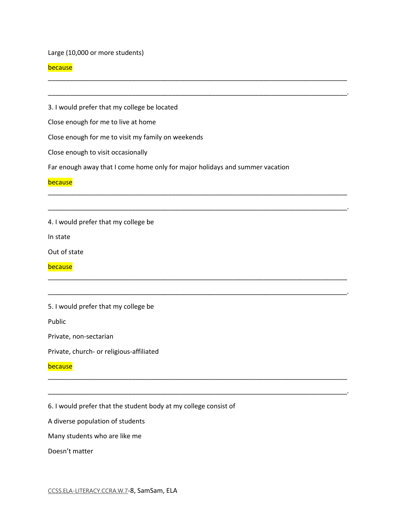Large (10,000 or more students)

## because

3. I would prefer that my college be located

Close enough for me to live at home

Close enough for me to visit my family on weekends

Close enough to visit occasionally

Far enough away that I come home only for major holidays and summer vacation

\_\_\_\_\_\_\_\_\_\_\_\_\_\_\_\_\_\_\_\_\_\_\_\_\_\_\_\_\_\_\_\_\_\_\_\_\_\_\_\_\_\_\_\_\_\_\_\_\_\_\_\_\_\_\_\_\_\_\_\_\_\_\_\_\_\_\_\_\_\_\_\_\_\_\_\_\_\_\_\_\_\_

\_\_\_\_\_\_\_\_\_\_\_\_\_\_\_\_\_\_\_\_\_\_\_\_\_\_\_\_\_\_\_\_\_\_\_\_\_\_\_\_\_\_\_\_\_\_\_\_\_\_\_\_\_\_\_\_\_\_\_\_\_\_\_\_\_\_\_\_\_\_\_\_\_\_\_\_\_\_\_\_\_\_.

\_\_\_\_\_\_\_\_\_\_\_\_\_\_\_\_\_\_\_\_\_\_\_\_\_\_\_\_\_\_\_\_\_\_\_\_\_\_\_\_\_\_\_\_\_\_\_\_\_\_\_\_\_\_\_\_\_\_\_\_\_\_\_\_\_\_\_\_\_\_\_\_\_\_\_\_\_\_\_\_\_\_

\_\_\_\_\_\_\_\_\_\_\_\_\_\_\_\_\_\_\_\_\_\_\_\_\_\_\_\_\_\_\_\_\_\_\_\_\_\_\_\_\_\_\_\_\_\_\_\_\_\_\_\_\_\_\_\_\_\_\_\_\_\_\_\_\_\_\_\_\_\_\_\_\_\_\_\_\_\_\_\_\_\_.

\_\_\_\_\_\_\_\_\_\_\_\_\_\_\_\_\_\_\_\_\_\_\_\_\_\_\_\_\_\_\_\_\_\_\_\_\_\_\_\_\_\_\_\_\_\_\_\_\_\_\_\_\_\_\_\_\_\_\_\_\_\_\_\_\_\_\_\_\_\_\_\_\_\_\_\_\_\_\_\_\_\_

\_\_\_\_\_\_\_\_\_\_\_\_\_\_\_\_\_\_\_\_\_\_\_\_\_\_\_\_\_\_\_\_\_\_\_\_\_\_\_\_\_\_\_\_\_\_\_\_\_\_\_\_\_\_\_\_\_\_\_\_\_\_\_\_\_\_\_\_\_\_\_\_\_\_\_\_\_\_\_\_\_\_.

\_\_\_\_\_\_\_\_\_\_\_\_\_\_\_\_\_\_\_\_\_\_\_\_\_\_\_\_\_\_\_\_\_\_\_\_\_\_\_\_\_\_\_\_\_\_\_\_\_\_\_\_\_\_\_\_\_\_\_\_\_\_\_\_\_\_\_\_\_\_\_\_\_\_\_\_\_\_\_\_\_\_

\_\_\_\_\_\_\_\_\_\_\_\_\_\_\_\_\_\_\_\_\_\_\_\_\_\_\_\_\_\_\_\_\_\_\_\_\_\_\_\_\_\_\_\_\_\_\_\_\_\_\_\_\_\_\_\_\_\_\_\_\_\_\_\_\_\_\_\_\_\_\_\_\_\_\_\_\_\_\_\_\_\_.

**because** 

4. I would prefer that my college be

In state

Out of state

because

5. I would prefer that my college be

Public

Private, non-sectarian

Private, church- or religious-affiliated

because

6. I would prefer that the student body at my college consist of

A diverse population of students

Many students who are like me

Doesn't matter